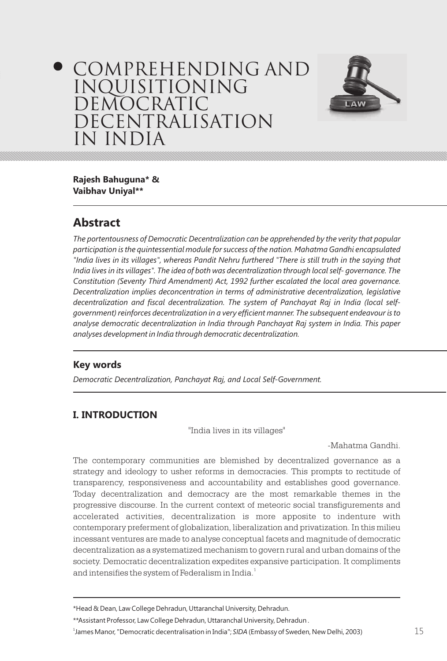# COMPREHENDING AND INQUISITIONING DEMOCRATIC DECENTRALISATION IN INDIA



**Rajesh Bahuguna\* & Vaibhav Uniyal\*\*** 

## **Abstract**

*The portentousness of Democratic Decentralization can be apprehended by the verity that popular participation is the quintessential module for success of the nation. Mahatma Gandhi encapsulated "India lives in its villages", whereas Pandit Nehru furthered "There is still truth in the saying that India lives in its villages". The idea of both was decentralization through local self- governance. The Constitution (Seventy Third Amendment) Act, 1992 further escalated the local area governance. Decentralization implies deconcentration in terms of administrative decentralization, legislative decentralization and fiscal decentralization. The system of Panchayat Raj in India (local selfgovernment) reinforces decentralization in a very efficient manner. The subsequent endeavour is to analyse democratic decentralization in India through Panchayat Raj system in India. This paper analyses development in India through democratic decentralization.*

#### **Key words**

*Democratic Decentralization, Panchayat Raj, and Local Self-Government.*

### **I. INTRODUCTION**

"India lives in its villages"

-Mahatma Gandhi.

The contemporary communities are blemished by decentralized governance as a strategy and ideology to usher reforms in democracies. This prompts to rectitude of transparency, responsiveness and accountability and establishes good governance. Today decentralization and democracy are the most remarkable themes in the progressive discourse. In the current context of meteoric social transfigurements and accelerated activities, decentralization is more apposite to indenture with contemporary preferment of globalization, liberalization and privatization. In this milieu incessant ventures are made to analyse conceptual facets and magnitude of democratic decentralization as a systematized mechanism to govern rural and urban domains of the society. Democratic decentralization expedites expansive participation. It compliments and intensifies the system of Federalism in India. $^{\rm 1}$ 

<sup>1</sup> James Manor, "Democratic decentralisation in India"; *SIDA* (Embassy of Sweden, New Delhi, 2003) 15

<sup>\*</sup>Head & Dean, Law College Dehradun, Uttaranchal University, Dehradun.

<sup>\*\*</sup>Assistant Professor, Law College Dehradun, Uttaranchal University, Dehradun .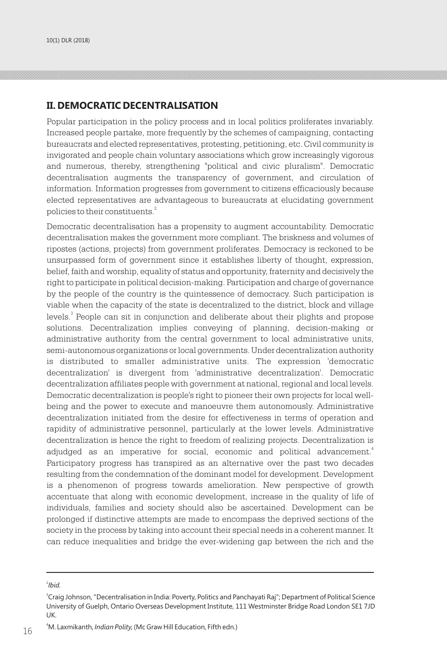#### **II. DEMOCRATIC DECENTRALISATION**

Popular participation in the policy process and in local politics proliferates invariably. Increased people partake, more frequently by the schemes of campaigning, contacting bureaucrats and elected representatives, protesting, petitioning, etc. Civil community is invigorated and people chain voluntary associations which grow increasingly vigorous and numerous, thereby, strengthening "political and civic pluralism". Democratic decentralisation augments the transparency of government, and circulation of information. Information progresses from government to citizens efficaciously because elected representatives are advantageous to bureaucrats at elucidating government policies to their constituents.<sup>2</sup>

Democratic decentralisation has a propensity to augment accountability. Democratic decentralisation makes the government more compliant. The briskness and volumes of ripostes (actions, projects) from government proliferates. Democracy is reckoned to be unsurpassed form of government since it establishes liberty of thought, expression, belief, faith and worship, equality of status and opportunity, fraternity and decisively the right to participate in political decision-making. Participation and charge of governance by the people of the country is the quintessence of democracy. Such participation is viable when the capacity of the state is decentralized to the district, block and village levels.<sup>3</sup> People can sit in conjunction and deliberate about their plights and propose solutions. Decentralization implies conveying of planning, decision-making or administrative authority from the central government to local administrative units, semi-autonomous organizations or local governments. Under decentralization authority is distributed to smaller administrative units. The expression 'democratic decentralization' is divergent from 'administrative decentralization'. Democratic decentralization affiliates people with government at national, regional and local levels. Democratic decentralization is people's right to pioneer their own projects for local wellbeing and the power to execute and manoeuvre them autonomously. Administrative decentralization initiated from the desire for effectiveness in terms of operation and rapidity of administrative personnel, particularly at the lower levels. Administrative decentralization is hence the right to freedom of realizing projects. Decentralization is adjudged as an imperative for social, economic and political advancement.<sup>4</sup> Participatory progress has transpired as an alternative over the past two decades resulting from the condemnation of the dominant model for development. Development is a phenomenon of progress towards amelioration. New perspective of growth accentuate that along with economic development, increase in the quality of life of individuals, families and society should also be ascertained. Development can be prolonged if distinctive attempts are made to encompass the deprived sections of the society in the process by taking into account their special needs in a coherent manner. It can reduce inequalities and bridge the ever-widening gap between the rich and the

#### 2 *Ibid.*

<sup>&</sup>lt;sup>3</sup>Craig Johnson, "Decentralisation in India: Poverty, Politics and Panchayati Raj"; Department of Political Science University of Guelph, Ontario Overseas Development Institute, 111 Westminster Bridge Road London SE1 7JD UK.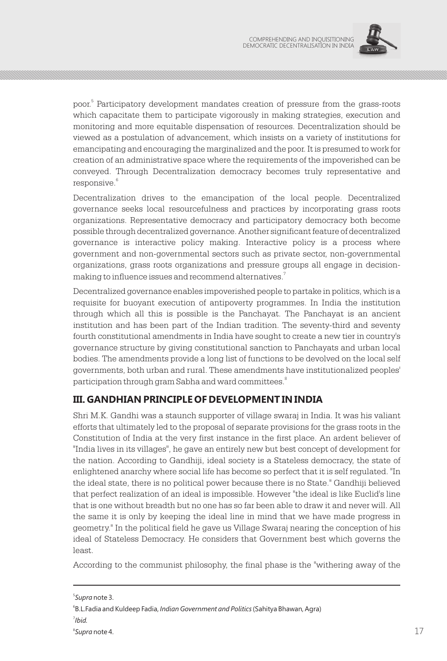

poor.<sup>5</sup> Participatory development mandates creation of pressure from the grass-roots which capacitate them to participate vigorously in making strategies, execution and monitoring and more equitable dispensation of resources. Decentralization should be viewed as a postulation of advancement, which insists on a variety of institutions for emancipating and encouraging the marginalized and the poor. It is presumed to work for creation of an administrative space where the requirements of the impoverished can be conveyed. Through Decentralization democracy becomes truly representative and 6 responsive.

Decentralization drives to the emancipation of the local people. Decentralized governance seeks local resourcefulness and practices by incorporating grass roots organizations. Representative democracy and participatory democracy both become possible through decentralized governance. Another significant feature of decentralized governance is interactive policy making. Interactive policy is a process where government and non-governmental sectors such as private sector, non-governmental organizations, grass roots organizations and pressure groups all engage in decisionmaking to influence issues and recommend alternatives.<sup>7</sup>

Decentralized governance enables impoverished people to partake in politics, which is a requisite for buoyant execution of antipoverty programmes. In India the institution through which all this is possible is the Panchayat. The Panchayat is an ancient institution and has been part of the Indian tradition. The seventy-third and seventy fourth constitutional amendments in India have sought to create a new tier in country's governance structure by giving constitutional sanction to Panchayats and urban local bodies. The amendments provide a long list of functions to be devolved on the local self governments, both urban and rural. These amendments have institutionalized peoples' participation through gram Sabha and ward committees.<sup>8</sup>

### **III. GANDHIAN PRINCIPLE OF DEVELOPMENT IN INDIA**

Shri M.K. Gandhi was a staunch supporter of village swaraj in India. It was his valiant efforts that ultimately led to the proposal of separate provisions for the grass roots in the Constitution of India at the very first instance in the first place. An ardent believer of "India lives in its villages", he gave an entirely new but best concept of development for the nation. According to Gandhiji, ideal society is a Stateless democracy, the state of enlightened anarchy where social life has become so perfect that it is self regulated. "In the ideal state, there is no political power because there is no State." Gandhiji believed that perfect realization of an ideal is impossible. However "the ideal is like Euclid's line that is one without breadth but no one has so far been able to draw it and never will. All the same it is only by keeping the ideal line in mind that we have made progress in geometry." In the political field he gave us Village Swaraj nearing the conception of his ideal of Stateless Democracy. He considers that Government best which governs the least.

According to the communist philosophy, the final phase is the "withering away of the

<sup>5</sup> *Supra* note 3.

<sup>6</sup> B.L.Fadia and Kuldeep Fadia, *Indian Government and Politics*(Sahitya Bhawan, Agra) 7 *Ibid.*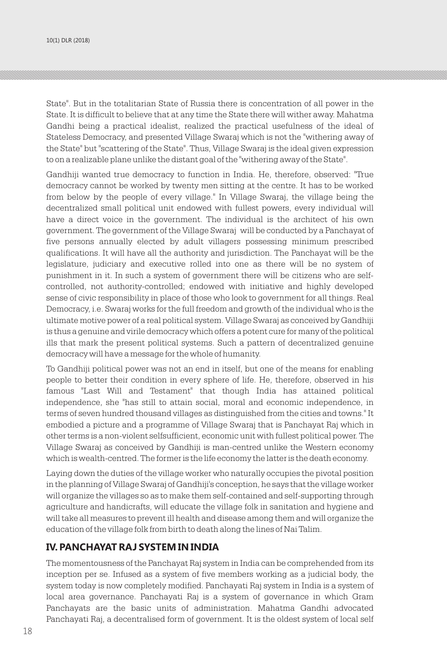$10(1)$  DLR (2018)  $\,$ 

State". But in the totalitarian State of Russia there is concentration of all power in the State. It is difficult to believe that at any time the State there will wither away. Mahatma Gandhi being a practical idealist, realized the practical usefulness of the ideal of Stateless Democracy, and presented Village Swaraj which is not the "withering away of the State" but "scattering of the State". Thus, Village Swaraj is the ideal given expression to on a realizable plane unlike the distant goal of the "withering away of the State".

Gandhiji wanted true democracy to function in India. He, therefore, observed: "True democracy cannot be worked by twenty men sitting at the centre. It has to be worked from below by the people of every village." In Village Swaraj, the village being the decentralized small political unit endowed with fullest powers, every individual will have a direct voice in the government. The individual is the architect of his own government. The government of the Village Swaraj will be conducted by a Panchayat of five persons annually elected by adult villagers possessing minimum prescribed qualifications. It will have all the authority and jurisdiction. The Panchayat will be the legislature, judiciary and executive rolled into one as there will be no system of punishment in it. In such a system of government there will be citizens who are selfcontrolled, not authority-controlled; endowed with initiative and highly developed sense of civic responsibility in place of those who look to government for all things. Real Democracy, i.e. Swaraj works for the full freedom and growth of the individual who is the ultimate motive power of a real political system. Village Swaraj as conceived by Gandhiji is thus a genuine and virile democracy which offers a potent cure for many of the political ills that mark the present political systems. Such a pattern of decentralized genuine democracy will have a message for the whole of humanity.

To Gandhiji political power was not an end in itself, but one of the means for enabling people to better their condition in every sphere of life. He, therefore, observed in his famous "Last Will and Testament" that though India has attained political independence, she "has still to attain social, moral and economic independence, in terms of seven hundred thousand villages as distinguished from the cities and towns." It embodied a picture and a programme of Village Swaraj that is Panchayat Raj which in other terms is a non-violent selfsufficient, economic unit with fullest political power. The Village Swaraj as conceived by Gandhiji is man-centred unlike the Western economy which is wealth-centred. The former is the life economy the latter is the death economy.

Laying down the duties of the village worker who naturally occupies the pivotal position in the planning of Village Swaraj of Gandhiji's conception, he says that the village worker will organize the villages so as to make them self-contained and self-supporting through agriculture and handicrafts, will educate the village folk in sanitation and hygiene and will take all measures to prevent ill health and disease among them and will organize the education of the village folk from birth to death along the lines of Nai Talim.

### **IV. PANCHAYAT RAJ SYSTEM IN INDIA**

The momentousness of the Panchayat Raj system in India can be comprehended from its inception per se. Infused as a system of five members working as a judicial body, the system today is now completely modified. Panchayati Raj system in India is a system of local area governance. Panchayati Raj is a system of governance in which Gram Panchayats are the basic units of administration. Mahatma Gandhi advocated Panchayati Raj, a decentralised form of government. It is the oldest system of local self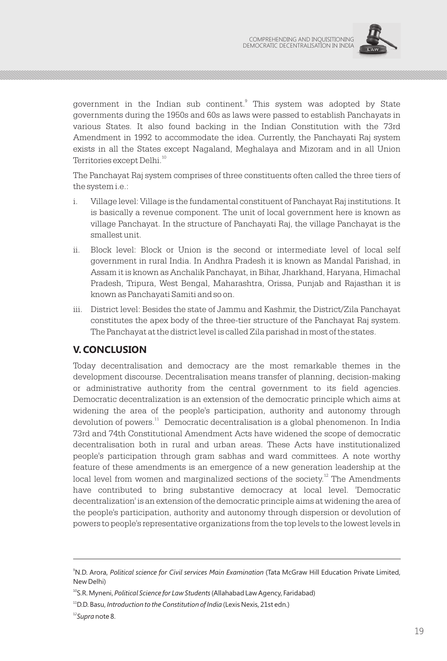

government in the Indian sub continent.<sup>9</sup> This system was adopted by State governments during the 1950s and 60s as laws were passed to establish Panchayats in various States. It also found backing in the Indian Constitution with the 73rd Amendment in 1992 to accommodate the idea. Currently, the Panchayati Raj system exists in all the States except Nagaland, Meghalaya and Mizoram and in all Union Territories except Delhi.<sup>10</sup>

The Panchayat Raj system comprises of three constituents often called the three tiers of the system i.e.:

- i. Village level: Village is the fundamental constituent of Panchayat Raj institutions. It is basically a revenue component. The unit of local government here is known as village Panchayat. In the structure of Panchayati Raj, the village Panchayat is the smallest unit.
- ii. Block level: Block or Union is the second or intermediate level of local self government in rural India. In Andhra Pradesh it is known as Mandal Parishad, in Assam it is known as Anchalik Panchayat, in Bihar, Jharkhand, Haryana, Himachal Pradesh, Tripura, West Bengal, Maharashtra, Orissa, Punjab and Rajasthan it is known as Panchayati Samiti and so on.
- iii. District level: Besides the state of Jammu and Kashmir, the District/Zila Panchayat constitutes the apex body of the three-tier structure of the Panchayat Raj system. The Panchayat at the district level is called Zila parishad in most of the states.

### **V. CONCLUSION**

Today decentralisation and democracy are the most remarkable themes in the development discourse. Decentralisation means transfer of planning, decision-making or administrative authority from the central government to its field agencies. Democratic decentralization is an extension of the democratic principle which aims at widening the area of the people's participation, authority and autonomy through devolution of powers.<sup>11</sup> Democratic decentralisation is a global phenomenon. In India 73rd and 74th Constitutional Amendment Acts have widened the scope of democratic decentralisation both in rural and urban areas. These Acts have institutionalized people's participation through gram sabhas and ward committees. A note worthy feature of these amendments is an emergence of a new generation leadership at the local level from women and marginalized sections of the society.<sup>12</sup> The Amendments have contributed to bring substantive democracy at local level. 'Democratic decentralization' is an extension of the democratic principle aims at widening the area of the people's participation, authority and autonomy through dispersion or devolution of powers to people's representative organizations from the top levels to the lowest levels in

<sup>9</sup>N.D. Arora, *Political science for Civil services Main Examination* (Tata McGraw Hill Education Private Limited, New Delhi)

<sup>&</sup>lt;sup>10</sup> S.R. Myneni, *Political Science for Law Students* (Allahabad Law Agency, Faridabad)

<sup>&</sup>lt;sup>11</sup>D.D. Basu, *Introduction to the Constitution of India* (Lexis Nexis, 21st edn.)

<sup>12</sup>*Supra* note 8.